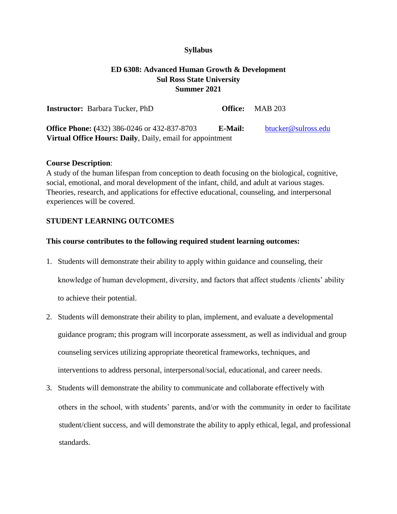#### **Syllabus**

# **ED 6308: Advanced Human Growth & Development Sul Ross State University Summer 2021**

| <b>Instructor:</b> Barbara Tucker, PhD                           |         | <b>Office:</b> MAB 203 |
|------------------------------------------------------------------|---------|------------------------|
| <b>Office Phone:</b> (432) 386-0246 or 432-837-8703              | E-Mail: | btucker@sulross.edu    |
| <b>Virtual Office Hours: Daily, Daily, email for appointment</b> |         |                        |

#### **Course Description**:

A study of the human lifespan from conception to death focusing on the biological, cognitive, social, emotional, and moral development of the infant, child, and adult at various stages. Theories, research, and applications for effective educational, counseling, and interpersonal experiences will be covered.

#### **STUDENT LEARNING OUTCOMES**

#### **This course contributes to the following required student learning outcomes:**

- 1. Students will demonstrate their ability to apply within guidance and counseling, their knowledge of human development, diversity, and factors that affect students /clients' ability to achieve their potential.
- 2. Students will demonstrate their ability to plan, implement, and evaluate a developmental guidance program; this program will incorporate assessment, as well as individual and group counseling services utilizing appropriate theoretical frameworks, techniques, and interventions to address personal, interpersonal/social, educational, and career needs.
- 3. Students will demonstrate the ability to communicate and collaborate effectively with others in the school, with students' parents, and/or with the community in order to facilitate student/client success, and will demonstrate the ability to apply ethical, legal, and professional standards.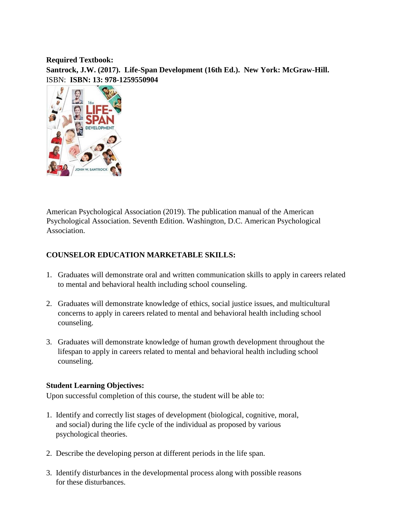**Required Textbook:** 

**Santrock, J.W. (2017). Life-Span Development (16th Ed.). New York: McGraw-Hill.**  ISBN: **ISBN: 13: 978-1259550904** 



American Psychological Association (2019). The publication manual of the American Psychological Association. Seventh Edition. Washington, D.C. American Psychological Association.

## **COUNSELOR EDUCATION MARKETABLE SKILLS:**

- 1. Graduates will demonstrate oral and written communication skills to apply in careers related to mental and behavioral health including school counseling.
- 2. Graduates will demonstrate knowledge of ethics, social justice issues, and multicultural concerns to apply in careers related to mental and behavioral health including school counseling.
- 3. Graduates will demonstrate knowledge of human growth development throughout the lifespan to apply in careers related to mental and behavioral health including school counseling.

## **Student Learning Objectives:**

Upon successful completion of this course, the student will be able to:

- 1. Identify and correctly list stages of development (biological, cognitive, moral, and social) during the life cycle of the individual as proposed by various psychological theories.
- 2. Describe the developing person at different periods in the life span.
- 3. Identify disturbances in the developmental process along with possible reasons for these disturbances.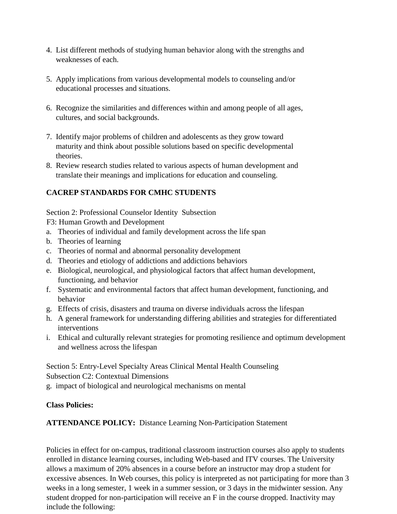- 4. List different methods of studying human behavior along with the strengths and weaknesses of each.
- 5. Apply implications from various developmental models to counseling and/or educational processes and situations.
- 6. Recognize the similarities and differences within and among people of all ages, cultures, and social backgrounds.
- 7. Identify major problems of children and adolescents as they grow toward maturity and think about possible solutions based on specific developmental theories.
- 8. Review research studies related to various aspects of human development and translate their meanings and implications for education and counseling.

# **CACREP STANDARDS FOR CMHC STUDENTS**

Section 2: Professional Counselor Identity Subsection

F3: Human Growth and Development

- a. Theories of individual and family development across the life span
- b. Theories of learning
- c. Theories of normal and abnormal personality development
- d. Theories and etiology of addictions and addictions behaviors
- e. Biological, neurological, and physiological factors that affect human development, functioning, and behavior
- f. Systematic and environmental factors that affect human development, functioning, and behavior
- g. Effects of crisis, disasters and trauma on diverse individuals across the lifespan
- h. A general framework for understanding differing abilities and strategies for differentiated interventions
- i. Ethical and culturally relevant strategies for promoting resilience and optimum development and wellness across the lifespan

Section 5: Entry-Level Specialty Areas Clinical Mental Health Counseling Subsection C2: Contextual Dimensions

g. impact of biological and neurological mechanisms on mental

# **Class Policies:**

**ATTENDANCE POLICY:** Distance Learning Non-Participation Statement

Policies in effect for on-campus, traditional classroom instruction courses also apply to students enrolled in distance learning courses, including Web-based and ITV courses. The University allows a maximum of 20% absences in a course before an instructor may drop a student for excessive absences. In Web courses, this policy is interpreted as not participating for more than 3 weeks in a long semester, 1 week in a summer session, or 3 days in the midwinter session. Any student dropped for non-participation will receive an F in the course dropped. Inactivity may include the following: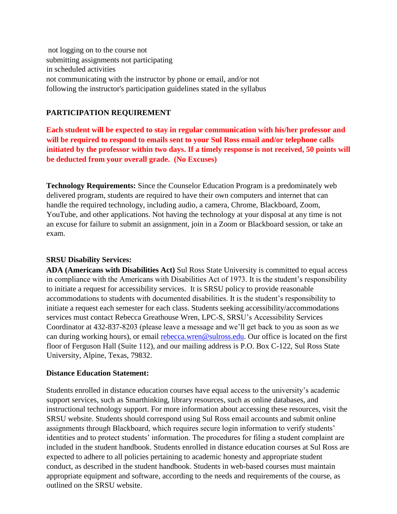not logging on to the course not submitting assignments not participating in scheduled activities not communicating with the instructor by phone or email, and/or not following the instructor's participation guidelines stated in the syllabus

## **PARTICIPATION REQUIREMENT**

**Each student will be expected to stay in regular communication with his/her professor and will be required to respond to emails sent to your Sul Ross email and/or telephone calls initiated by the professor within two days. If a timely response is not received, 50 points will be deducted from your overall grade. (No Excuses)** 

**Technology Requirements:** Since the Counselor Education Program is a predominately web delivered program, students are required to have their own computers and internet that can handle the required technology, including audio, a camera, Chrome, Blackboard, Zoom, YouTube, and other applications. Not having the technology at your disposal at any time is not an excuse for failure to submit an assignment, join in a Zoom or Blackboard session, or take an exam.

## **SRSU Disability Services:**

**ADA (Americans with Disabilities Act)** Sul Ross State University is committed to equal access in compliance with the Americans with Disabilities Act of 1973. It is the student's responsibility to initiate a request for accessibility services. It is SRSU policy to provide reasonable accommodations to students with documented disabilities. It is the student's responsibility to initiate a request each semester for each class. Students seeking accessibility/accommodations services must contact Rebecca Greathouse Wren, LPC-S, SRSU's Accessibility Services Coordinator at 432-837-8203 (please leave a message and we'll get back to you as soon as we can during working hours), or email [rebecca.wren@sulross.edu.](https://owa.sulross.edu/owa/redir.aspx?C=Co2PU5bRfGkEIAr1hE56sqZPD9l35__OQ5yEbz7exI6KSNFNDCLYCA..&URL=mailto%3arebecca.wren%40sulross.edu) Our office is located on the first floor of Ferguson Hall (Suite 112), and our mailing address is P.O. Box C-122, Sul Ross State University, Alpine, Texas, 79832.

## **Distance Education Statement:**

Students enrolled in distance education courses have equal access to the university's academic support services, such as Smarthinking, library resources, such as online databases, and instructional technology support. For more information about accessing these resources, visit the SRSU website. Students should correspond using Sul Ross email accounts and submit online assignments through Blackboard, which requires secure login information to verify students' identities and to protect students' information. The procedures for filing a student complaint are included in the student handbook. Students enrolled in distance education courses at Sul Ross are expected to adhere to all policies pertaining to academic honesty and appropriate student conduct, as described in the student handbook. Students in web-based courses must maintain appropriate equipment and software, according to the needs and requirements of the course, as outlined on the SRSU website.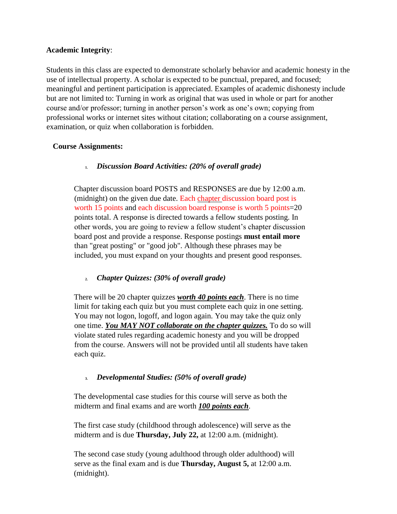## **Academic Integrity**:

Students in this class are expected to demonstrate scholarly behavior and academic honesty in the use of intellectual property. A scholar is expected to be punctual, prepared, and focused; meaningful and pertinent participation is appreciated. Examples of academic dishonesty include but are not limited to: Turning in work as original that was used in whole or part for another course and/or professor; turning in another person's work as one's own; copying from professional works or internet sites without citation; collaborating on a course assignment, examination, or quiz when collaboration is forbidden.

## **Course Assignments:**

## **1.** *Discussion Board Activities: (20% of overall grade)*

Chapter discussion board POSTS and RESPONSES are due by 12:00 a.m. (midnight) on the given due date. Each chapter discussion board post is worth 15 points and each discussion board response is worth 5 points=20 points total. A response is directed towards a fellow students posting. In other words, you are going to review a fellow student's chapter discussion board post and provide a response. Response postings **must entail more**  than "great posting" or "good job". Although these phrases may be included, you must expand on your thoughts and present good responses.

# **2.** *Chapter Quizzes: (30% of overall grade)*

There will be 20 chapter quizzes *worth 40 points each*. There is no time limit for taking each quiz but you must complete each quiz in one setting. You may not logon, logoff, and logon again. You may take the quiz only one time. *You MAY NOT collaborate on the chapter quizzes.* To do so will violate stated rules regarding academic honesty and you will be dropped from the course. Answers will not be provided until all students have taken each quiz.

## **3.** *Developmental Studies: (50% of overall grade)*

The developmental case studies for this course will serve as both the midterm and final exams and are worth *100 points each*.

The first case study (childhood through adolescence) will serve as the midterm and is due **Thursday, July 22,** at 12:00 a.m. (midnight).

The second case study (young adulthood through older adulthood) will serve as the final exam and is due **Thursday, August 5,** at 12:00 a.m. (midnight).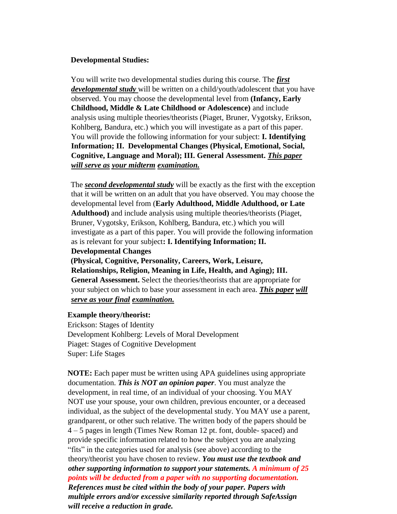#### **Developmental Studies:**

You will write two developmental studies during this course. The *first developmental study* will be written on a child/youth/adolescent that you have observed. You may choose the developmental level from **(Infancy, Early Childhood, Middle & Late Childhood or Adolescence)** and include analysis using multiple theories/theorists (Piaget, Bruner, Vygotsky, Erikson, Kohlberg, Bandura, etc.) which you will investigate as a part of this paper. You will provide the following information for your subject: **I. Identifying Information; II. Developmental Changes (Physical, Emotional, Social, Cognitive, Language and Moral); III. General Assessment.** *This paper will serve as your midterm examination.* 

The *second developmental study* will be exactly as the first with the exception that it will be written on an adult that you have observed. You may choose the developmental level from (**Early Adulthood, Middle Adulthood, or Late Adulthood)** and include analysis using multiple theories/theorists (Piaget, Bruner, Vygotsky, Erikson, Kohlberg, Bandura, etc.) which you will investigate as a part of this paper. You will provide the following information as is relevant for your subject**: I. Identifying Information; II.** 

**Developmental Changes** 

**(Physical, Cognitive, Personality, Careers, Work, Leisure, Relationships, Religion, Meaning in Life, Health, and Aging); III. General Assessment.** Select the theories/theorists that are appropriate for your subject on which to base your assessment in each area. *This paper will serve as your final examination.* 

#### **Example theory/theorist:**

Erickson: Stages of Identity Development Kohlberg: Levels of Moral Development Piaget: Stages of Cognitive Development Super: Life Stages

**NOTE:** Each paper must be written using APA guidelines using appropriate documentation. *This is NOT an opinion paper*. You must analyze the development, in real time, of an individual of your choosing. You MAY NOT use your spouse, your own children, previous encounter, or a deceased individual, as the subject of the developmental study. You MAY use a parent, grandparent, or other such relative. The written body of the papers should be 4 – 5 pages in length (Times New Roman 12 pt. font, double- spaced) and provide specific information related to how the subject you are analyzing "fits" in the categories used for analysis (see above) according to the theory/theorist you have chosen to review. *You must use the textbook and other supporting information to support your statements. A minimum of 25 points will be deducted from a paper with no supporting documentation. References must be cited within the body of your paper. Papers with multiple errors and/or excessive similarity reported through SafeAssign will receive a reduction in grade.*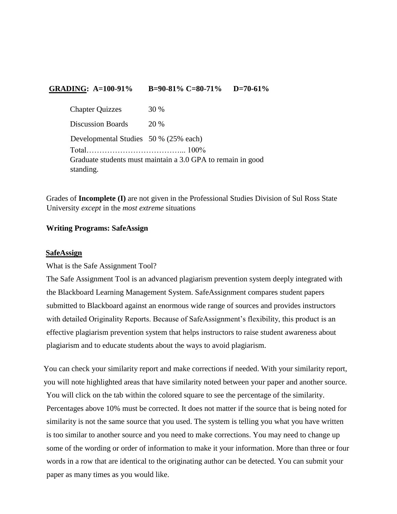## **GRADING: A=100-91% B=90-81% C=80-71% D=70-61%**

| <b>Chapter Quizzes</b>                                      | 30 % |  |
|-------------------------------------------------------------|------|--|
| <b>Discussion Boards</b>                                    | 20 % |  |
| Developmental Studies 50 % (25% each)                       |      |  |
|                                                             |      |  |
| Graduate students must maintain a 3.0 GPA to remain in good |      |  |
| standing.                                                   |      |  |

Grades of **Incomplete (I)** are not given in the Professional Studies Division of Sul Ross State University *except* in the *most extreme* situations

#### **Writing Programs: SafeAssign**

#### **SafeAssign**

What is the Safe Assignment Tool?

The Safe Assignment Tool is an advanced plagiarism prevention system deeply integrated with the Blackboard Learning Management System. SafeAssignment compares student papers submitted to Blackboard against an enormous wide range of sources and provides instructors with detailed Originality Reports. Because of SafeAssignment's flexibility, this product is an effective plagiarism prevention system that helps instructors to raise student awareness about plagiarism and to educate students about the ways to avoid plagiarism.

You can check your similarity report and make corrections if needed. With your similarity report, you will note highlighted areas that have similarity noted between your paper and another source. You will click on the tab within the colored square to see the percentage of the similarity. Percentages above 10% must be corrected. It does not matter if the source that is being noted for similarity is not the same source that you used. The system is telling you what you have written is too similar to another source and you need to make corrections. You may need to change up some of the wording or order of information to make it your information. More than three or four words in a row that are identical to the originating author can be detected. You can submit your paper as many times as you would like.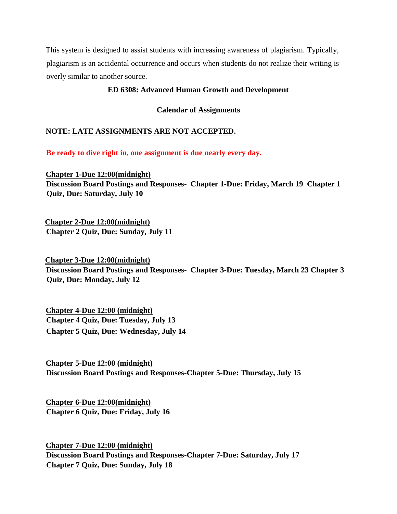This system is designed to assist students with increasing awareness of plagiarism. Typically, plagiarism is an accidental occurrence and occurs when students do not realize their writing is overly similar to another source.

#### **ED 6308: Advanced Human Growth and Development**

**Calendar of Assignments** 

## **NOTE: LATE ASSIGNMENTS ARE NOT ACCEPTED.**

**Be ready to dive right in, one assignment is due nearly every day.** 

**Chapter 1-Due 12:00(midnight) Discussion Board Postings and Responses- Chapter 1-Due: Friday, March 19 Chapter 1 Quiz, Due: Saturday, July 10**

**Chapter 2-Due 12:00(midnight) Chapter 2 Quiz, Due: Sunday, July 11**

**Chapter 3-Due 12:00(midnight) Discussion Board Postings and Responses- Chapter 3-Due: Tuesday, March 23 Chapter 3 Quiz, Due: Monday, July 12**

**Chapter 4-Due 12:00 (midnight) Chapter 4 Quiz, Due: Tuesday, July 13 Chapter 5 Quiz, Due: Wednesday, July 14**

**Chapter 5-Due 12:00 (midnight) Discussion Board Postings and Responses-Chapter 5-Due: Thursday, July 15**

**Chapter 6-Due 12:00(midnight) Chapter 6 Quiz, Due: Friday, July 16**

**Chapter 7-Due 12:00 (midnight) Discussion Board Postings and Responses-Chapter 7-Due: Saturday, July 17 Chapter 7 Quiz, Due: Sunday, July 18**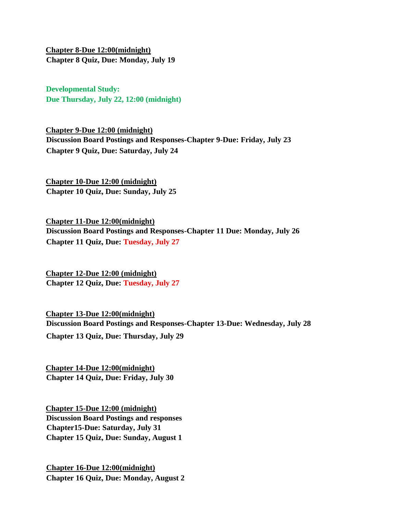**Chapter 8-Due 12:00(midnight) Chapter 8 Quiz, Due: Monday, July 19**

**Developmental Study: Due Thursday, July 22, 12:00 (midnight)** 

**Chapter 9-Due 12:00 (midnight) Discussion Board Postings and Responses-Chapter 9-Due: Friday, July 23 Chapter 9 Quiz, Due: Saturday, July 24**

**Chapter 10-Due 12:00 (midnight) Chapter 10 Quiz, Due: Sunday, July 25** 

**Chapter 11-Due 12:00(midnight) Discussion Board Postings and Responses-Chapter 11 Due: Monday, July 26 Chapter 11 Quiz, Due: Tuesday, July 27**

**Chapter 12-Due 12:00 (midnight) Chapter 12 Quiz, Due: Tuesday, July 27**

**Chapter 13-Due 12:00(midnight) Discussion Board Postings and Responses-Chapter 13-Due: Wednesday, July 28 Chapter 13 Quiz, Due: Thursday, July 29**

**Chapter 14-Due 12:00(midnight) Chapter 14 Quiz, Due: Friday, July 30** 

**Chapter 15-Due 12:00 (midnight) Discussion Board Postings and responses Chapter15-Due: Saturday, July 31 Chapter 15 Quiz, Due: Sunday, August 1**

**Chapter 16-Due 12:00(midnight) Chapter 16 Quiz, Due: Monday, August 2**